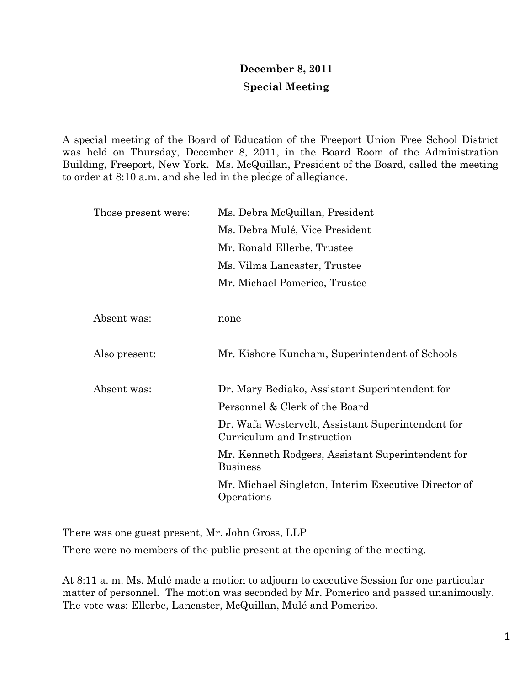## **December 8, 2011 Special Meeting**

A special meeting of the Board of Education of the Freeport Union Free School District was held on Thursday, December 8, 2011, in the Board Room of the Administration Building, Freeport, New York. Ms. McQuillan, President of the Board, called the meeting to order at 8:10 a.m. and she led in the pledge of allegiance.

| Ms. Debra McQuillan, President                                                  |
|---------------------------------------------------------------------------------|
| Ms. Debra Mulé, Vice President                                                  |
| Mr. Ronald Ellerbe, Trustee                                                     |
| Ms. Vilma Lancaster, Trustee                                                    |
| Mr. Michael Pomerico, Trustee                                                   |
|                                                                                 |
| none                                                                            |
|                                                                                 |
| Mr. Kishore Kuncham, Superintendent of Schools                                  |
|                                                                                 |
| Dr. Mary Bediako, Assistant Superintendent for                                  |
| Personnel & Clerk of the Board                                                  |
| Dr. Wafa Westervelt, Assistant Superintendent for<br>Curriculum and Instruction |
| Mr. Kenneth Rodgers, Assistant Superintendent for<br><b>Business</b>            |
| Mr. Michael Singleton, Interim Executive Director of<br>Operations              |
|                                                                                 |

There was one guest present, Mr. John Gross, LLP

There were no members of the public present at the opening of the meeting.

At 8:11 a. m. Ms. Mulé made a motion to adjourn to executive Session for one particular matter of personnel. The motion was seconded by Mr. Pomerico and passed unanimously. The vote was: Ellerbe, Lancaster, McQuillan, Mulé and Pomerico.

1